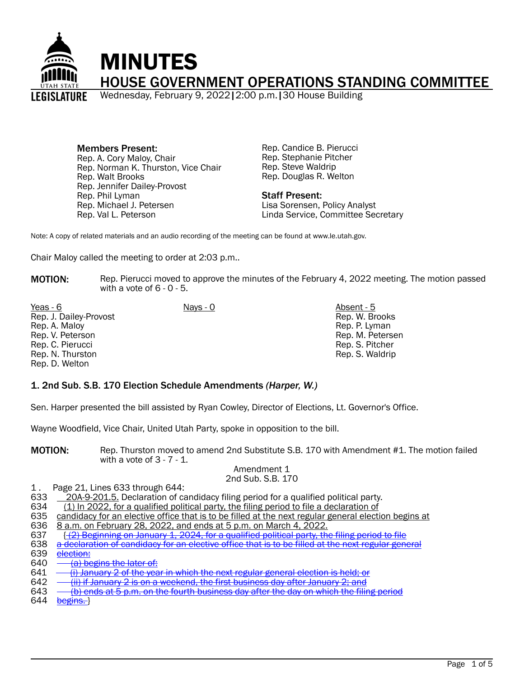

Members Present: Rep. A. Cory Maloy, Chair Rep. Norman K. Thurston, Vice Chair Rep. Walt Brooks Rep. Jennifer Dailey-Provost Rep. Phil Lyman Rep. Michael J. Petersen Rep. Val L. Peterson

Rep. Candice B. Pierucci Rep. Stephanie Pitcher Rep. Steve Waldrip Rep. Douglas R. Welton

#### Staff Present: Lisa Sorensen, Policy Analyst Linda Service, Committee Secretary

Note: A copy of related materials and an audio recording of the meeting can be found at www.le.utah.gov.

Chair Maloy called the meeting to order at 2:03 p.m..

**MOTION:** Rep. Pierucci moved to approve the minutes of the February 4, 2022 meeting. The motion passed with a vote of 6 - 0 - 5.

Yeas - 6 Nays - 0 Absent - 5 Rep. J. Dailey-Provost Rep. A. Maloy Rep. V. Peterson Rep. C. Pierucci Rep. N. Thurston Rep. D. Welton

Rep. W. Brooks Rep. P. Lyman Rep. M. Petersen Rep. S. Pitcher Rep. S. Waldrip

#### 1. 2nd Sub. S.B. 170 Election Schedule Amendments *(Harper, W.)*

Sen. Harper presented the bill assisted by Ryan Cowley, Director of Elections, Lt. Governor's Office.

Wayne Woodfield, Vice Chair, United Utah Party, spoke in opposition to the bill.

MOTION: Rep. Thurston moved to amend 2nd Substitute S.B. 170 with Amendment #1. The motion failed with a vote of  $3 - 7 - 1$ .

#### Amendment 1 2nd Sub. S.B. 170

1. Page 21, Lines 633 through 644:<br>633 20A-9-201.5. Declaration of ca 633 20A-9-201.5. Declaration of candidacy filing period for a qualified political party.<br>634 (1) In 2022, for a qualified political party, the filing period to file a declaration of

- (1) In 2022, for a qualified political party, the filing period to file a declaration of
- 635 candidacy for an elective office that is to be filled at the next regular general election begins at 636 8 a.m. on February 28, 2022, and ends at 5 p.m. on March 4, 2022.
- 636 8 a.m. on February 28, 2022, and ends at 5 p.m. on March 4, 2022.
- 637  $\{2\}$  Beginning on January 1, 2024, for a qualified political party, the filing period to file<br>638 a declaration of candidacy for an elective office that is to be filled at the next regular gene
- 638 a declaration of candidacy for an elective office that is to be filled at the next regular general 639 election:
- 639 <u>election:</u><br>640 <del>(a) be</del>

640  $\frac{(a)}{b}$  begins the later of:<br>641  $-$  (i) January 2 of the yea

- 641  $-$  (i) January 2 of the year in which the next regular general election is held; or<br>642  $-$  (ii) if January 2 is on a weekend, the first business day after January 2; and
- 642  $\frac{1}{2}$  ii) if January 2 is on a weekend, the first business day after January 2; and 643  $-$  (b) ends at 5 p.m. on the fourth business day after the day on which the filir
- 643  $-$  <u>(b) ends at 5 p.m. on the fourth business day after the day on which the filing period</u><br>644 begins. J

begins.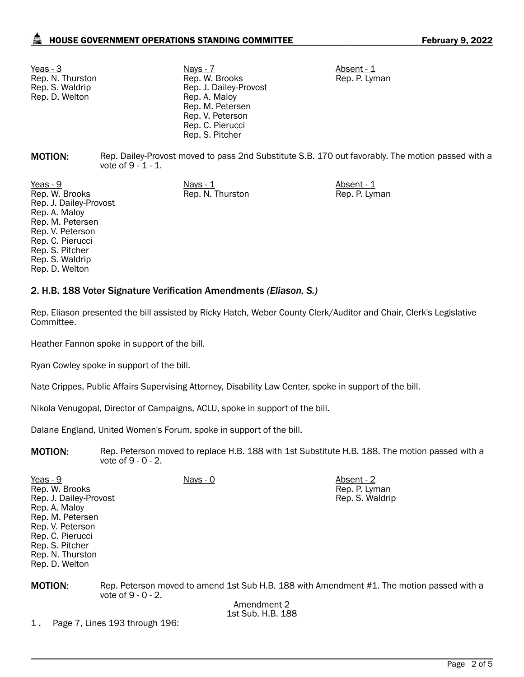Rep. N. Thurston Rep. S. Waldrip Rep. D. Welton

Yeas - 3 Nays - 7 Nays - 7 Absent - 1 Rep. W. Brooks Rep. J. Dailey-Provost Rep. A. Maloy Rep. M. Petersen Rep. V. Peterson Rep. C. Pierucci Rep. S. Pitcher

Rep. P. Lyman

Rep. P. Lyman Rep. S. Waldrip

**MOTION:** Rep. Dailey-Provost moved to pass 2nd Substitute S.B. 170 out favorably. The motion passed with a vote of 9 - 1 - 1.

Rep. N. Thurston Rep. P. Lyman

<u>Yeas - 9</u> Nays - <u>1 Absent - 1 Absent - 1 Absent - 1 Absent - 1 Absent - 1 Absent - 1 Absent - 1 Absent - 1 Absent - 1 Absent - 1 Absent - 1 Absent - 1 Absent - 1 Absent - 1 Absent - 1 Absent - 1 Absent - 1 Absent - 1 Abs</u> Rep. W. Brooks Rep. J. Dailey-Provost Rep. A. Maloy Rep. M. Petersen Rep. V. Peterson Rep. C. Pierucci Rep. S. Pitcher Rep. S. Waldrip Rep. D. Welton

### 2. H.B. 188 Voter Signature Verification Amendments *(Eliason, S.)*

Rep. Eliason presented the bill assisted by Ricky Hatch, Weber County Clerk/Auditor and Chair, Clerk's Legislative Committee.

Heather Fannon spoke in support of the bill.

Ryan Cowley spoke in support of the bill.

Nate Crippes, Public Affairs Supervising Attorney, Disability Law Center, spoke in support of the bill.

Nikola Venugopal, Director of Campaigns, ACLU, spoke in support of the bill.

Dalane England, United Women's Forum, spoke in support of the bill.

**MOTION:** Rep. Peterson moved to replace H.B. 188 with 1st Substitute H.B. 188. The motion passed with a vote of 9 - 0 - 2.

Yeas - 9 Nays - 0 Absent - 2 Rep. W. Brooks Rep. J. Dailey-Provost Rep. A. Maloy Rep. M. Petersen Rep. V. Peterson Rep. C. Pierucci Rep. S. Pitcher Rep. N. Thurston Rep. D. Welton

MOTION: Rep. Peterson moved to amend 1st Sub H.B. 188 with Amendment #1. The motion passed with a vote of 9 - 0 - 2.

Amendment 2 1st Sub. H.B. 188

1 . Page 7, Lines 193 through 196: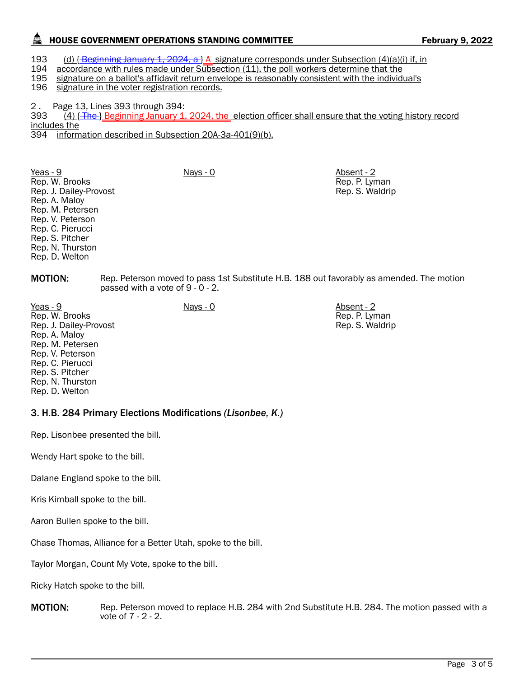# HOUSE GOVERNMENT OPERATIONS STANDING COMMITTEE FEBRUARY 9, 2022

193 (d) { Beginning January 1, 2024, a } A signature corresponds under Subsection (4)(a)(i) if, in 1944 accordance with rules made under Subsection (11), the poll workers determine that the

accordance with rules made under Subsection (11), the poll workers determine that the

195 signature on a ballot's affidavit return envelope is reasonably consistent with the individual's 196<br>196 signature in the voter registration records.

signature in the voter registration records.

2 . Page 13, Lines 393 through 394:<br>393 . (4) { The } Beginning January 1,

2024, the election officer shall ensure that the voting history record includes the

394 information described in Subsection 20A-3a-401(9)(b).

Yeas - 9 Nays - 0 Absent - 2 Rep. W. Brooks Rep. J. Dailey-Provost Rep. A. Maloy Rep. M. Petersen Rep. V. Peterson Rep. C. Pierucci Rep. S. Pitcher Rep. N. Thurston Rep. D. Welton

Rep. P. Lyman Rep. S. Waldrip

Rep. P. Lyman Rep. S. Waldrip

**MOTION:** Rep. Peterson moved to pass 1st Substitute H.B. 188 out favorably as amended. The motion passed with a vote of 9 - 0 - 2.

Yeas - 9 Nays - 0 Absent - 2 Rep. W. Brooks Rep. J. Dailey-Provost Rep. A. Maloy Rep. M. Petersen Rep. V. Peterson Rep. C. Pierucci Rep. S. Pitcher Rep. N. Thurston Rep. D. Welton

### 3. H.B. 284 Primary Elections Modifications *(Lisonbee, K.)*

Rep. Lisonbee presented the bill.

Wendy Hart spoke to the bill.

Dalane England spoke to the bill.

Kris Kimball spoke to the bill.

Aaron Bullen spoke to the bill.

Chase Thomas, Alliance for a Better Utah, spoke to the bill.

Taylor Morgan, Count My Vote, spoke to the bill.

Ricky Hatch spoke to the bill.

**MOTION:** Rep. Peterson moved to replace H.B. 284 with 2nd Substitute H.B. 284. The motion passed with a vote of 7 - 2 - 2.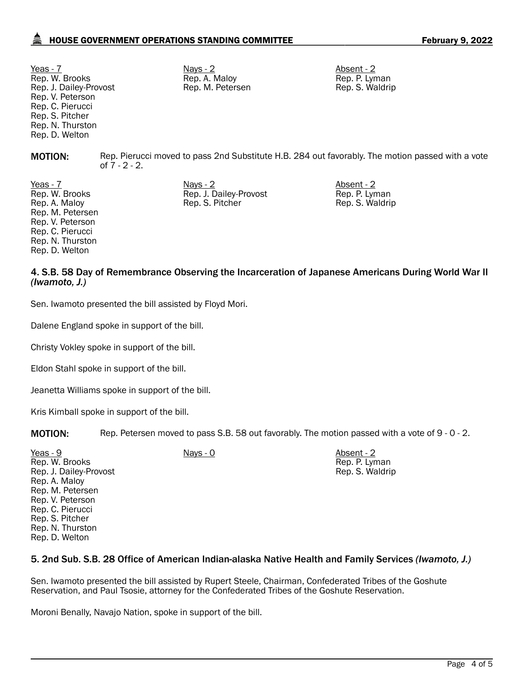# HOUSE GOVERNMENT OPERATIONS STANDING COMMITTEE FEBRUARY 9, 2022

Yeas - 7 Nays - 2 Nays - 2 Absent - 2 Absent - 2 Absent - 2 Absent - 2 Absent - 2 Absent - 2 Absent - 2 Absent - 2 Absent - 2 Absent - 2 Absent - 2 Absent - 2 Absent - 2 Absent - 2 Absent - 2 Absent - 2 Absent - 2 Absent -Rep. W. Brooks Rep. J. Dailey-Provost Rep. V. Peterson Rep. C. Pierucci Rep. S. Pitcher Rep. N. Thurston Rep. D. Welton

Rep. A. Maloy Rep. M. Petersen

Rep. J. Dailey-Provost Rep. S. Pitcher

Rep. P. Lyman Rep. S. Waldrip

Rep. P. Lyman Rep. S. Waldrip

**MOTION:** Rep. Pierucci moved to pass 2nd Substitute H.B. 284 out favorably. The motion passed with a vote of 7 - 2 - 2.

Yeas - 7 Nays - 2 Absent - 2 Rep. W. Brooks Rep. A. Maloy Rep. M. Petersen Rep. V. Peterson Rep. C. Pierucci Rep. N. Thurston Rep. D. Welton

# 4. S.B. 58 Day of Remembrance Observing the Incarceration of Japanese Americans During World War II *(Iwamoto, J.)*

Sen. Iwamoto presented the bill assisted by Floyd Mori.

Dalene England spoke in support of the bill.

Christy Vokley spoke in support of the bill.

Eldon Stahl spoke in support of the bill.

Jeanetta Williams spoke in support of the bill.

Kris Kimball spoke in support of the bill.

MOTION: Rep. Petersen moved to pass S.B. 58 out favorably. The motion passed with a vote of 9 - 0 - 2.

| Yeas - 9<br>Rep. W. Brooks<br>Rep. J. Dailey-Provost | $Nays - 0$ | Absent - 2<br>Rep. P. Lyman<br>Rep. S. Waldrip |
|------------------------------------------------------|------------|------------------------------------------------|
| Rep. A. Maloy                                        |            |                                                |
| Rep. M. Petersen                                     |            |                                                |
| Rep. V. Peterson                                     |            |                                                |
| Rep. C. Pierucci                                     |            |                                                |
| Rep. S. Pitcher                                      |            |                                                |
| Rep. N. Thurston                                     |            |                                                |
| Rep. D. Welton                                       |            |                                                |

#### 5. 2nd Sub. S.B. 28 Office of American Indian-alaska Native Health and Family Services *(Iwamoto, J.)*

Sen. Iwamoto presented the bill assisted by Rupert Steele, Chairman, Confederated Tribes of the Goshute Reservation, and Paul Tsosie, attorney for the Confederated Tribes of the Goshute Reservation.

Moroni Benally, Navajo Nation, spoke in support of the bill.